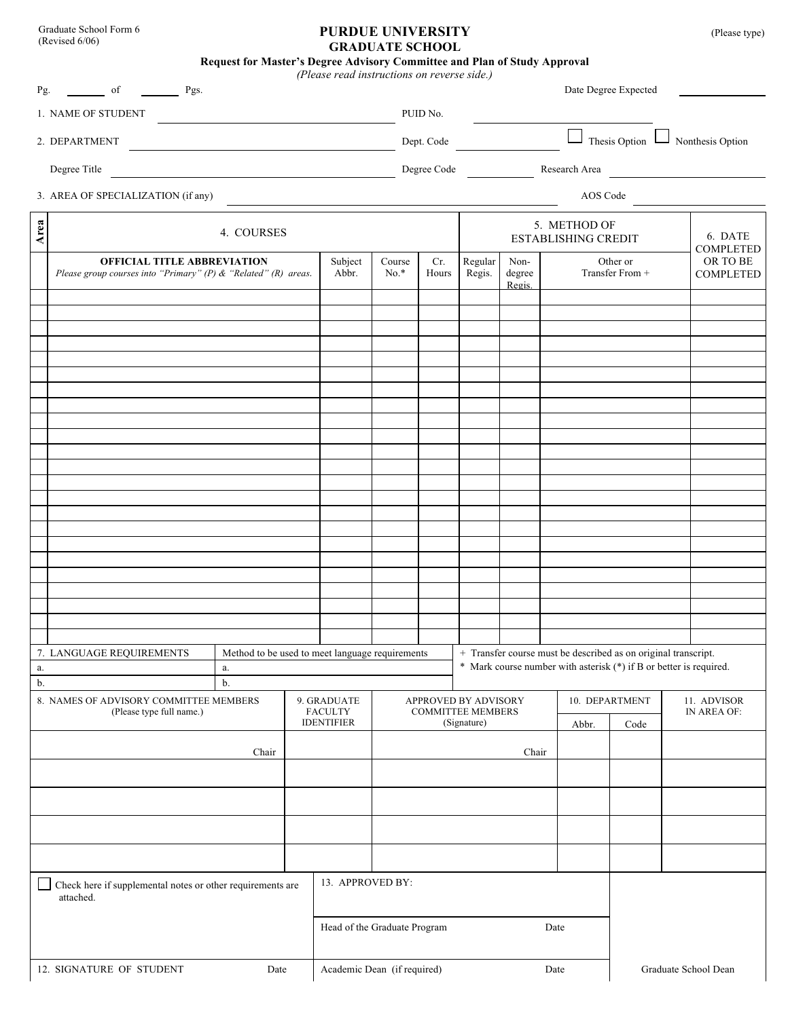Graduate School Form 6 (Revised 6/06)

## **PURDUE UNIVERSITY** (Please type) **GRADUATE SCHOOL**

**Request for Master's Degree Advisory Committee and Plan of Study Approval**

| Pg.                                                             | of<br>Pgs.                                                                                              |                                                          |  | (Please read instructions on reverse side.) |                  |                                        |                                         |                                            |                                                                | Date Degree Expected                             |                                                                    |  |
|-----------------------------------------------------------------|---------------------------------------------------------------------------------------------------------|----------------------------------------------------------|--|---------------------------------------------|------------------|----------------------------------------|-----------------------------------------|--------------------------------------------|----------------------------------------------------------------|--------------------------------------------------|--------------------------------------------------------------------|--|
| 1. NAME OF STUDENT                                              |                                                                                                         |                                                          |  |                                             |                  |                                        | PUID No.                                |                                            |                                                                |                                                  |                                                                    |  |
| 2. DEPARTMENT<br><u> 1989 - Johann Stein, mars an de France</u> |                                                                                                         |                                                          |  |                                             |                  | Dept. Code                             |                                         |                                            | $\Box$                                                         | Thesis Option $\Box$<br>$\perp$ Nonthesis Option |                                                                    |  |
| Degree Title                                                    |                                                                                                         |                                                          |  |                                             |                  | Degree Code<br>Research Area           |                                         |                                            |                                                                |                                                  |                                                                    |  |
| 3. AREA OF SPECIALIZATION (if any)                              |                                                                                                         |                                                          |  |                                             |                  |                                        | AOS Code                                |                                            |                                                                |                                                  |                                                                    |  |
| Area                                                            |                                                                                                         | 4. COURSES                                               |  |                                             |                  |                                        |                                         | 5. METHOD OF<br><b>ESTABLISHING CREDIT</b> |                                                                | 6. DATE                                          |                                                                    |  |
|                                                                 | <b>OFFICIAL TITLE ABBREVIATION</b><br>Please group courses into "Primary" (P) $\&$ "Related" (R) areas. |                                                          |  | Subject<br>Abbr.                            | Course<br>$No.*$ | Cr.<br>Hours                           | Regular<br>Regis.                       | Non-<br>degree<br>Regis.                   |                                                                | Other or<br>Transfer From +                      | <b>COMPLETED</b><br>OR TO BE<br>COMPLETED                          |  |
|                                                                 |                                                                                                         |                                                          |  |                                             |                  |                                        |                                         |                                            |                                                                |                                                  |                                                                    |  |
|                                                                 |                                                                                                         |                                                          |  |                                             |                  |                                        |                                         |                                            |                                                                |                                                  |                                                                    |  |
|                                                                 |                                                                                                         |                                                          |  |                                             |                  |                                        |                                         |                                            |                                                                |                                                  |                                                                    |  |
|                                                                 |                                                                                                         |                                                          |  |                                             |                  |                                        |                                         |                                            |                                                                |                                                  |                                                                    |  |
|                                                                 |                                                                                                         |                                                          |  |                                             |                  |                                        |                                         |                                            |                                                                |                                                  |                                                                    |  |
|                                                                 |                                                                                                         |                                                          |  |                                             |                  |                                        |                                         |                                            |                                                                |                                                  |                                                                    |  |
|                                                                 |                                                                                                         |                                                          |  |                                             |                  |                                        |                                         |                                            |                                                                |                                                  |                                                                    |  |
|                                                                 |                                                                                                         |                                                          |  |                                             |                  |                                        |                                         |                                            |                                                                |                                                  |                                                                    |  |
| a.                                                              | 7. LANGUAGE REQUIREMENTS                                                                                | Method to be used to meet language requirements<br>$a$ . |  |                                             |                  |                                        |                                         |                                            | + Transfer course must be described as on original transcript. |                                                  | * Mark course number with asterisk (*) if B or better is required. |  |
| b.                                                              | 8. NAMES OF ADVISORY COMMITTEE MEMBERS                                                                  | b.                                                       |  | 9. GRADUATE                                 |                  | 10. DEPARTMENT<br>APPROVED BY ADVISORY |                                         |                                            |                                                                |                                                  | 11. ADVISOR                                                        |  |
| (Please type full name.)                                        |                                                                                                         |                                                          |  | <b>FACULTY</b><br><b>IDENTIFIER</b>         |                  |                                        | <b>COMMITTEE MEMBERS</b><br>(Signature) |                                            | Abbr.                                                          | Code                                             | IN AREA OF:                                                        |  |
| Chair                                                           |                                                                                                         |                                                          |  |                                             |                  |                                        |                                         | Chair                                      |                                                                |                                                  |                                                                    |  |
|                                                                 |                                                                                                         |                                                          |  |                                             |                  |                                        |                                         |                                            |                                                                |                                                  |                                                                    |  |
|                                                                 |                                                                                                         |                                                          |  |                                             |                  |                                        |                                         |                                            |                                                                |                                                  |                                                                    |  |
|                                                                 | Check here if supplemental notes or other requirements are<br>attached.                                 | 13. APPROVED BY:                                         |  |                                             |                  |                                        |                                         |                                            |                                                                |                                                  |                                                                    |  |
| Head of the Graduate Program                                    |                                                                                                         |                                                          |  |                                             |                  |                                        | Date                                    |                                            |                                                                |                                                  |                                                                    |  |
| Academic Dean (if required)<br>12. SIGNATURE OF STUDENT<br>Date |                                                                                                         |                                                          |  |                                             |                  | Graduate School Dean<br>Date           |                                         |                                            |                                                                |                                                  |                                                                    |  |